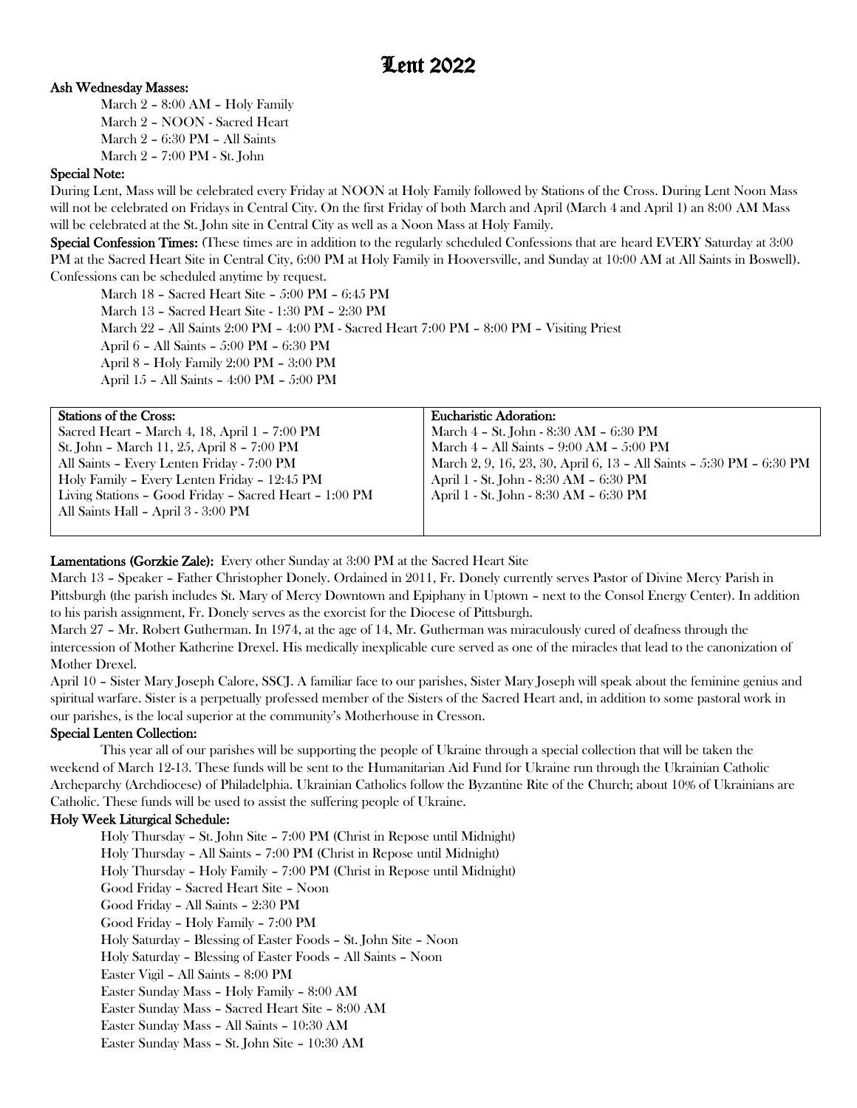# Ash Wednesday Masses:

March 2 – 8:00 AM – Holy Family March 2 – NOON - Sacred Heart March 2 – 6:30 PM – All Saints March 2 – 7:00 PM - St. John

## Special Note:

During Lent, Mass will be celebrated every Friday at NOON at Holy Family followed by Stations of the Cross. During Lent Noon Mass will not be celebrated on Fridays in Central City. On the first Friday of both March and April (March 4 and April 1) an 8:00 AM Mass will be celebrated at the St. John site in Central City as well as a Noon Mass at Holy Family.

Special Confession Times: (These times are in addition to the regularly scheduled Confessions that are heard EVERY Saturday at 3:00 PM at the Sacred Heart Site in Central City, 6:00 PM at Holy Family in Hooversville, and Sunday at 10:00 AM at All Saints in Boswell). Confessions can be scheduled anytime by request.

March 18 – Sacred Heart Site – 5:00 PM – 6:45 PM March 13 – Sacred Heart Site - 1:30 PM – 2:30 PM March 22 – All Saints 2:00 PM – 4:00 PM - Sacred Heart 7:00 PM – 8:00 PM – Visiting Priest April 6 – All Saints – 5:00 PM – 6:30 PM April 8 – Holy Family 2:00 PM – 3:00 PM April 15 – All Saints – 4:00 PM – 5:00 PM

| <b>Stations of the Cross:</b>                          | Eucharistic Adoration:                                               |
|--------------------------------------------------------|----------------------------------------------------------------------|
| Sacred Heart - March 4, 18, April 1 - 7:00 PM          | March 4 - St. John - 8:30 AM - 6:30 PM                               |
| St. John - March 11, 25, April 8 - 7:00 PM             | March $4$ – All Saints – $9:00$ AM – $5:00$ PM                       |
| All Saints - Every Lenten Friday - 7:00 PM             | March 2, 9, 16, 23, 30, April 6, 13 - All Saints - 5:30 PM - 6:30 PM |
| Holy Family - Every Lenten Friday - 12:45 PM           | April 1 - St. John - 8:30 AM - 6:30 PM                               |
| Living Stations - Good Friday - Sacred Heart - 1:00 PM | April 1 - St. John - 8:30 AM - 6:30 PM                               |
| All Saints Hall - April 3 - 3:00 PM                    |                                                                      |
|                                                        |                                                                      |

## Lamentations (Gorzkie Zale): Every other Sunday at 3:00 PM at the Sacred Heart Site

March 13 – Speaker – Father Christopher Donely. Ordained in 2011, Fr. Donely currently serves Pastor of Divine Mercy Parish in Pittsburgh (the parish includes St. Mary of Mercy Downtown and Epiphany in Uptown – next to the Consol Energy Center). In addition to his parish assignment, Fr. Donely serves as the exorcist for the Diocese of Pittsburgh.

March 27 – Mr. Robert Gutherman. In 1974, at the age of 14, Mr. Gutherman was miraculously cured of deafness through the intercession of Mother Katherine Drexel. His medically inexplicable cure served as one of the miracles that lead to the canonization of Mother Drexel.

April 10 – Sister Mary Joseph Calore, SSCJ. A familiar face to our parishes, Sister Mary Joseph will speak about the feminine genius and spiritual warfare. Sister is a perpetually professed member of the Sisters of the Sacred Heart and, in addition to some pastoral work in our parishes, is the local superior at the community's Motherhouse in Cresson.

#### Special Lenten Collection:

This year all of our parishes will be supporting the people of Ukraine through a special collection that will be taken the weekend of March 12-13. These funds will be sent to the Humanitarian Aid Fund for Ukraine run through the Ukrainian Catholic Archeparchy (Archdiocese) of Philadelphia. Ukrainian Catholics follow the Byzantine Rite of the Church; about 10% of Ukrainians are Catholic. These funds will be used to assist the suffering people of Ukraine.

# Holy Week Liturgical Schedule:

Holy Thursday – St. John Site – 7:00 PM (Christ in Repose until Midnight) Holy Thursday – All Saints – 7:00 PM (Christ in Repose until Midnight) Holy Thursday – Holy Family – 7:00 PM (Christ in Repose until Midnight) Good Friday – Sacred Heart Site – Noon Good Friday – All Saints – 2:30 PM Good Friday – Holy Family – 7:00 PM Holy Saturday – Blessing of Easter Foods – St. John Site – Noon Holy Saturday – Blessing of Easter Foods – All Saints – Noon Easter Vigil – All Saints – 8:00 PM Easter Sunday Mass – Holy Family – 8:00 AM Easter Sunday Mass – Sacred Heart Site – 8:00 AM Easter Sunday Mass – All Saints – 10:30 AM Easter Sunday Mass – St. John Site – 10:30 AM